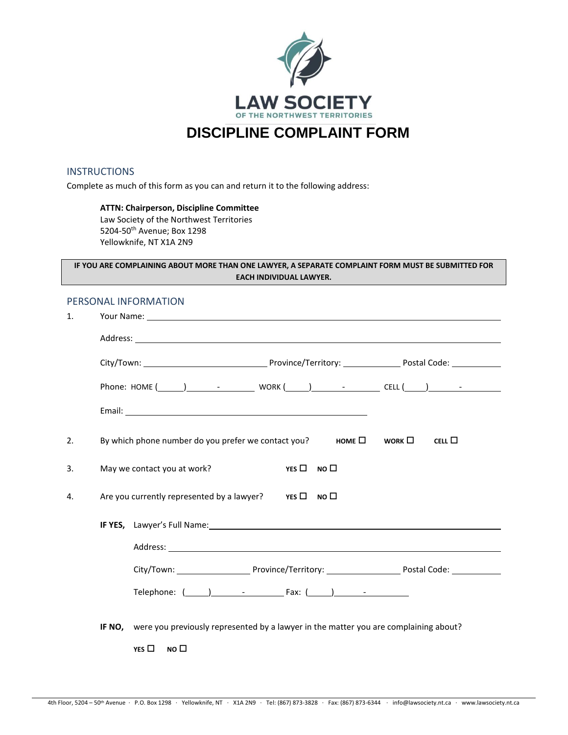

### **INSTRUCTIONS**

Complete as much of this form as you can and return it to the following address:

#### **ATTN: Chairperson, Discipline Committee**

Law Society of the Northwest Territories 5204-50th Avenue; Box 1298 Yellowknife, NT X1A 2N9

## **IF YOU ARE COMPLAINING ABOUT MORE THAN ONE LAWYER, A SEPARATE COMPLAINT FORM MUST BE SUBMITTED FOR EACH INDIVIDUAL LAWYER.**

# PERSONAL INFORMATION

| $\mathbf{1}$ . |                                                                                                                                                            |
|----------------|------------------------------------------------------------------------------------------------------------------------------------------------------------|
|                |                                                                                                                                                            |
|                |                                                                                                                                                            |
|                |                                                                                                                                                            |
|                |                                                                                                                                                            |
| 2.             | By which phone number do you prefer we contact you? HOME $\square$ WORK $\square$<br>CELL $\square$                                                        |
| 3.             | May we contact you at work?<br>YES $\Box$ NO $\Box$                                                                                                        |
| 4.             | Are you currently represented by a lawyer? $Y \rightharpoonup Y \rightharpoonup Y \rightharpoonup Y \rightharpoonup Y \rightharpoonup Y \rightharpoonup Y$ |
|                | <b>IF YES,</b> Lawyer's Full Name: <b>All Accounts and Accounts and Accounts</b> and Accounts are the set of the set of the                                |
|                |                                                                                                                                                            |
|                |                                                                                                                                                            |
|                |                                                                                                                                                            |
|                | IF NO, were you previously represented by a lawyer in the matter you are complaining about?                                                                |
|                | YES $\Box$<br>NO <sub>0</sub>                                                                                                                              |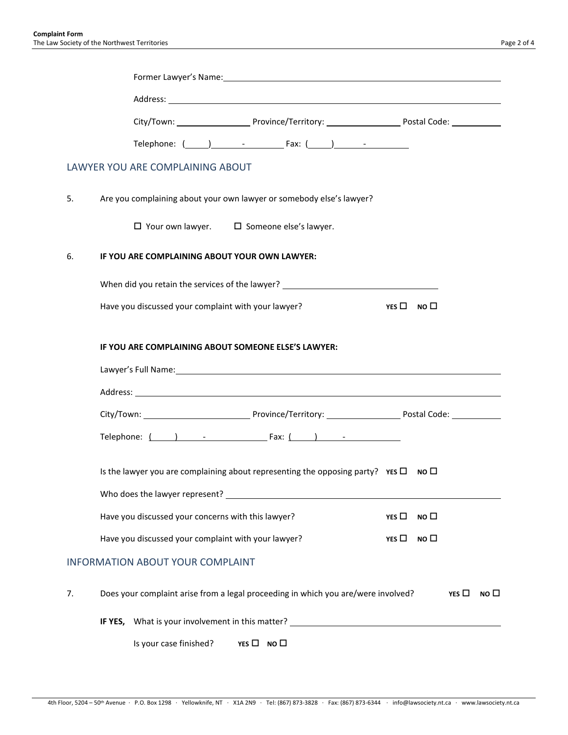|    | Telephone: $(\_\_\_)$ - Fax: $(\_\_)$ - Fax: $\_\_)$                                                                                                                                                                           |                    |                 |               |              |
|----|--------------------------------------------------------------------------------------------------------------------------------------------------------------------------------------------------------------------------------|--------------------|-----------------|---------------|--------------|
|    | LAWYER YOU ARE COMPLAINING ABOUT                                                                                                                                                                                               |                    |                 |               |              |
| 5. | Are you complaining about your own lawyer or somebody else's lawyer?                                                                                                                                                           |                    |                 |               |              |
|    | $\Box$ Your own lawyer. $\Box$ Someone else's lawyer.                                                                                                                                                                          |                    |                 |               |              |
| 6. | IF YOU ARE COMPLAINING ABOUT YOUR OWN LAWYER:                                                                                                                                                                                  |                    |                 |               |              |
|    | When did you retain the services of the lawyer? ________________________________                                                                                                                                               |                    |                 |               |              |
|    | Have you discussed your complaint with your lawyer?                                                                                                                                                                            | $YES \Box NO \Box$ |                 |               |              |
|    | IF YOU ARE COMPLAINING ABOUT SOMEONE ELSE'S LAWYER:                                                                                                                                                                            |                    |                 |               |              |
|    | Lawyer's Full Name: Name and South Allen Communication of the Communication of the Communication of the Communication of the Communication of the Communication of the Communication of the Communication of the Communication |                    |                 |               |              |
|    |                                                                                                                                                                                                                                |                    |                 |               |              |
|    |                                                                                                                                                                                                                                |                    |                 |               |              |
|    | Telephone: $( )$ - Fax: $( )$ -                                                                                                                                                                                                |                    |                 |               |              |
|    | Is the lawyer you are complaining about representing the opposing party? $YES \Box$ No $\Box$                                                                                                                                  |                    |                 |               |              |
|    | Who does the lawyer represent? Letter and the state of the state of the state of the state of the state of the state of the state of the state of the state of the state of the state of the state of the state of the state o |                    |                 |               |              |
|    | Have you discussed your concerns with this lawyer?                                                                                                                                                                             | YES $\Box$         | NO <sub>0</sub> |               |              |
|    | Have you discussed your complaint with your lawyer?                                                                                                                                                                            | YES $\Box$         | NO <sub>1</sub> |               |              |
|    | <b>INFORMATION ABOUT YOUR COMPLAINT</b>                                                                                                                                                                                        |                    |                 |               |              |
| 7. | Does your complaint arise from a legal proceeding in which you are/were involved?                                                                                                                                              |                    |                 | YES $\square$ | NO $\square$ |
|    | IF YES, What is your involvement in this matter? The contract of the contract of the contract of the contract of the contract of the contract of the contract of the contract of the contract of the contract of the contract  |                    |                 |               |              |
|    | Is your case finished?<br>$YES \Box NO \Box$                                                                                                                                                                                   |                    |                 |               |              |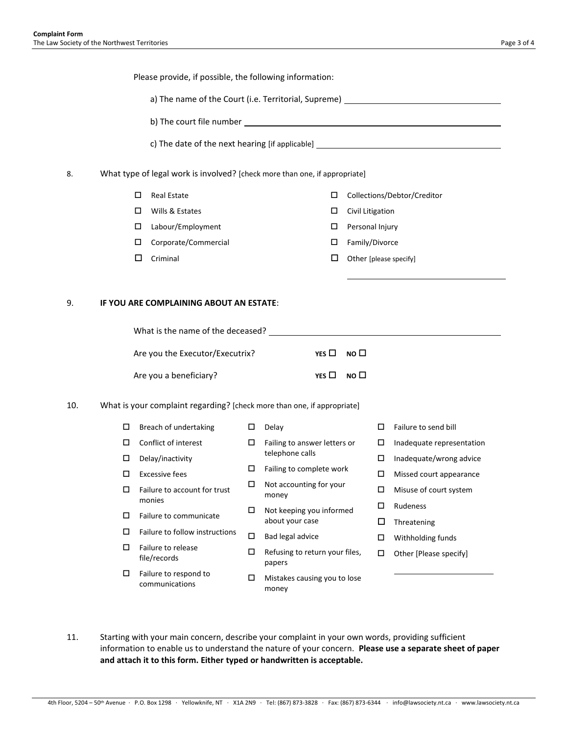|     |                                                                            |                                                                         |   |                                                                                        |                  |                 | c) The date of the next hearing [if applicable] _________________________________ |  |
|-----|----------------------------------------------------------------------------|-------------------------------------------------------------------------|---|----------------------------------------------------------------------------------------|------------------|-----------------|-----------------------------------------------------------------------------------|--|
|     | What type of legal work is involved? [check more than one, if appropriate] |                                                                         |   |                                                                                        |                  |                 |                                                                                   |  |
|     |                                                                            | □<br><b>Real Estate</b>                                                 |   | □                                                                                      |                  |                 | Collections/Debtor/Creditor                                                       |  |
|     |                                                                            | Wills & Estates<br>□                                                    |   | □                                                                                      | Civil Litigation |                 |                                                                                   |  |
|     |                                                                            | □<br>Labour/Employment                                                  |   | □                                                                                      |                  | Personal Injury |                                                                                   |  |
|     |                                                                            | Corporate/Commercial<br>□                                               |   | □                                                                                      |                  | Family/Divorce  |                                                                                   |  |
|     |                                                                            | □<br>Criminal                                                           |   | □                                                                                      |                  |                 | Other [please specify]                                                            |  |
|     |                                                                            |                                                                         |   |                                                                                        |                  |                 |                                                                                   |  |
|     |                                                                            | IF YOU ARE COMPLAINING ABOUT AN ESTATE:                                 |   |                                                                                        |                  |                 |                                                                                   |  |
|     |                                                                            |                                                                         |   |                                                                                        |                  |                 |                                                                                   |  |
|     |                                                                            | Are you the Executor/Executrix?                                         |   | YES $\Box$                                                                             | NO <sub>1</sub>  |                 |                                                                                   |  |
|     |                                                                            | Are you a beneficiary?                                                  |   | YES $\Box$                                                                             | мо □             |                 |                                                                                   |  |
| 10. |                                                                            | What is your complaint regarding? [check more than one, if appropriate] |   |                                                                                        |                  |                 |                                                                                   |  |
|     | $\Box$                                                                     | Breach of undertaking                                                   | 口 | Delay                                                                                  |                  | 0               | Failure to send bill                                                              |  |
|     | □                                                                          | Conflict of interest                                                    | □ | Failing to answer letters or                                                           |                  | □               | Inadequate representation                                                         |  |
|     | □                                                                          | Delay/inactivity                                                        |   | telephone calls<br>Failing to complete work<br>Not accounting for your<br>money        |                  | 0               | Inadequate/wrong advice                                                           |  |
|     | $\Box$                                                                     | <b>Excessive fees</b>                                                   | □ |                                                                                        |                  | $\Box$          | Missed court appearance                                                           |  |
|     | □                                                                          | Failure to account for trust                                            | □ |                                                                                        |                  | □               | Misuse of court system                                                            |  |
|     |                                                                            | monies                                                                  | □ | Not keeping you informed                                                               | □                |                 | Rudeness                                                                          |  |
|     | □                                                                          | Failure to communicate                                                  |   | about your case                                                                        |                  | □               | Threatening                                                                       |  |
|     | □                                                                          | Failure to follow instructions                                          | □ | Bad legal advice                                                                       |                  | □               | Withholding funds                                                                 |  |
|     | □                                                                          | Failure to release<br>file/records                                      | □ | Refusing to return your files,<br>papers<br>□<br>Mistakes causing you to lose<br>money |                  | □               | Other [Please specify]                                                            |  |
|     | □                                                                          | Failure to respond to                                                   |   |                                                                                        |                  |                 |                                                                                   |  |

11. Starting with your main concern, describe your complaint in your own words, providing sufficient information to enable us to understand the nature of your concern. **Please use a separate sheet of paper and attach it to this form. Either typed or handwritten is acceptable.**